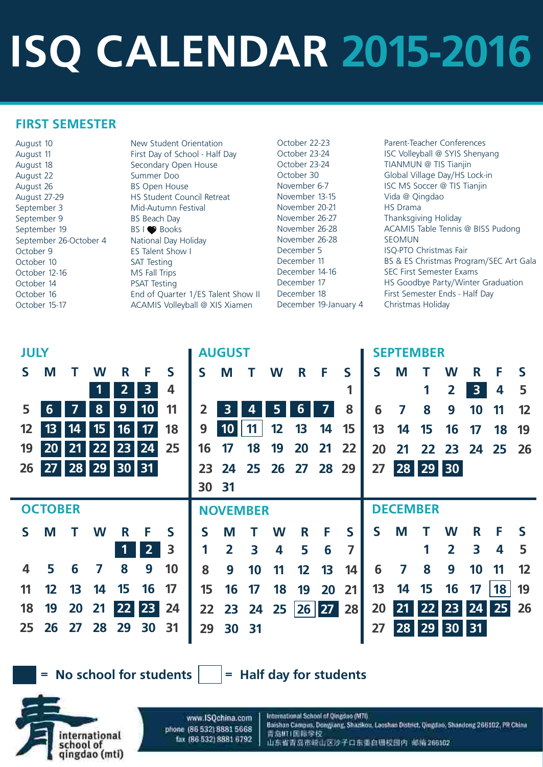# **ISQ CALENDAR 2015-2016**

## **FIRST SEMESTER**

August 10 New Student Orientation August 18 **Secondary Open House** August 22 Summer Doo August 26 BS Open House September 3 Mid-Autumn Festival September 9 BS Beach Day September 19 BS I Books September 26-October 4 National Day Holiday October 9 ES Talent Show I October 10 SAT Testing October 12-16 MS Fall Trips October 14 PSAT Testing

August 11 **First Day of School - Half Day** August 27-29 HS Student Council Retreat October 16 **End of Quarter 1/ES Talent Show II** October 15-17 ACAMIS Volleyball @ XIS Xiamen

October 22-23 Parent-Teacher Conferences October 23-24 **ISC Volleyball @ SYIS Shenyang** October 23-24 TIANMUN @ TIS Tianjin October 30 Global Village Day/HS Lock-in November 6-7 **ISC MS Soccer @ TIS Tianjin** November 26-27 Thanksgiving Holiday November 26-28 ACAMIS Table Tennis @ BISS Pudong December 5 ISQ-PTO Christmas Fair December 11 BS & ES Christmas Program/SEC Art Gala December 14-16 SEC First Semester Exams December 17 **HS Goodbye Party/Winter Graduation** December 18 First Semester Ends - Half Day

November 13-15 Vida @ Qingdao November 20-21 HS Drama November 26-28 SEOMUN December 19-January 4 Christmas Holiday

| <b>JULY</b>    |    |                       |   |                         |                         |    | <b>AUGUST</b>           |                 |           |    |    |    |    |    | <b>SEPTEMBER</b> |                 |                         |                         |             |  |  |  |
|----------------|----|-----------------------|---|-------------------------|-------------------------|----|-------------------------|-----------------|-----------|----|----|----|----|----|------------------|-----------------|-------------------------|-------------------------|-------------|--|--|--|
| M              |    | W                     | R | F                       | $\mathsf{S}$            | S  | M                       |                 | W         | R  | F  | S  | S  | M  |                  | W               | R                       | F                       | S           |  |  |  |
|                |    |                       | 2 | $\overline{\mathbf{3}}$ | 4                       |    |                         |                 |           |    |    | 1  |    |    | 1                | 2               | $\overline{\mathbf{3}}$ | 4                       | 5           |  |  |  |
| 6              |    | 8                     | 9 | <b>10</b>               | 11                      | 2  | 3                       |                 |           | 6  | 7  | 8  | 6  | 7  | 8                | 9               | 10                      | 11                      | 12          |  |  |  |
| 13             | 14 | 15                    |   | 17                      | 18                      | 9  | 10                      | 11              | 12        | 13 | 14 | 15 | 13 | 14 | 15               | 16              | 17                      | 18                      | 19          |  |  |  |
|                | 21 |                       |   | 24                      | 25                      | 16 |                         | 18              | 19        | 20 | 21 | 22 | 20 | 21 |                  |                 |                         |                         | <b>26</b>   |  |  |  |
|                |    |                       |   |                         |                         | 23 | 24                      | 25              | <b>26</b> | 27 |    | 29 | 27 |    |                  |                 |                         |                         |             |  |  |  |
|                |    |                       |   |                         |                         |    |                         |                 |           |    |    |    |    |    |                  |                 |                         |                         |             |  |  |  |
| <b>OCTOBER</b> |    |                       |   |                         |                         |    |                         | <b>NOVEMBER</b> |           |    |    |    |    |    |                  | <b>DECEMBER</b> |                         |                         |             |  |  |  |
| M              |    | W                     | R | F                       | $\mathsf{S}$            | S  | M                       |                 | W         | R  | F  | S  | S  | M  |                  | W               | R                       | F                       | S           |  |  |  |
|                |    |                       |   | 2 <sup>1</sup>          | 3                       |    | $\overline{\mathbf{2}}$ | 3               | 4         | 5  | 6  | 7  |    |    | 1                | $\overline{2}$  | 3                       | $\overline{\mathbf{4}}$ | 5           |  |  |  |
|                | 6  |                       | 8 | 9                       | 10                      | 8  | 9                       |                 |           |    | 13 | 14 | 6  |    | 8                | 9               |                         |                         | 12          |  |  |  |
| 12<br>19       | 26 | 20 <sub>1</sub><br>27 |   | 22                      | 16<br>23<br>28 29 30 31 |    |                         | 30 31           |           |    |    |    | 28 |    |                  |                 | 28 29 30                |                         | 22 23 24 25 |  |  |  |



## $=$  No school for students  $\vert$   $\vert$  = Half day for students

www.ISOchina.com phone (86 532) 8881 5668 fax (86.532) 8881 6792

international

qingdao (mti)

school of

#### International School of Gingdao (MTI)

Balshan Campus, Donujiang, Shankou, Laoshan District, Dingdao, Shandong 266102, PR China **青島MI | 面職学校** 山东省青岛市崂山区沙子口东委白珊校园内 邮指266102